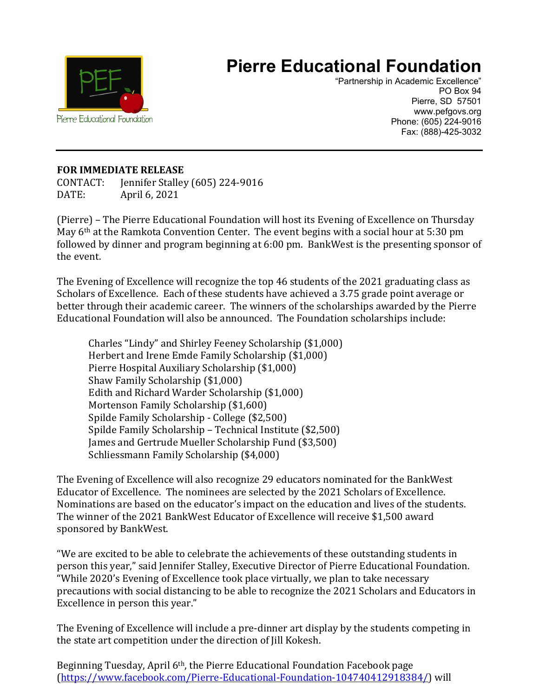

## **Pierre Educational Foundation**

"Partnership in Academic Excellence" PO Box 94 Pierre, SD 57501 www.pefgovs.org Phone: (605) 224-9016 Fax: (888)-425-3032

## **FOR IMMEDIATE RELEASE**

CONTACT: Jennifer Stalley (605) 224-9016 April 6, 2021

(Pierre) – The Pierre Educational Foundation will host its Evening of Excellence on Thursday May 6th at the Ramkota Convention Center. The event begins with a social hour at 5:30 pm followed by dinner and program beginning at 6:00 pm. BankWest is the presenting sponsor of the event.

The Evening of Excellence will recognize the top 46 students of the 2021 graduating class as Scholars of Excellence. Each of these students have achieved a 3.75 grade point average or better through their academic career. The winners of the scholarships awarded by the Pierre Educational Foundation will also be announced. The Foundation scholarships include:

Charles "Lindy" and Shirley Feeney Scholarship (\$1,000) Herbert and Irene Emde Family Scholarship (\$1,000) Pierre Hospital Auxiliary Scholarship (\$1,000) Shaw Family Scholarship (\$1,000) Edith and Richard Warder Scholarship (\$1,000) Mortenson Family Scholarship (\$1,600) Spilde Family Scholarship - College (\$2,500) Spilde Family Scholarship – Technical Institute (\$2,500) James and Gertrude Mueller Scholarship Fund (\$3,500) Schliessmann Family Scholarship (\$4,000)

The Evening of Excellence will also recognize 29 educators nominated for the BankWest Educator of Excellence. The nominees are selected by the 2021 Scholars of Excellence. Nominations are based on the educator's impact on the education and lives of the students. The winner of the 2021 BankWest Educator of Excellence will receive \$1,500 award sponsored by BankWest.

"We are excited to be able to celebrate the achievements of these outstanding students in person this year," said Jennifer Stalley, Executive Director of Pierre Educational Foundation. "While 2020's Evening of Excellence took place virtually, we plan to take necessary precautions with social distancing to be able to recognize the 2021 Scholars and Educators in Excellence in person this year."

The Evening of Excellence will include a pre-dinner art display by the students competing in the state art competition under the direction of Jill Kokesh.

Beginning Tuesday, April 6th, the Pierre Educational Foundation Facebook page [\(https://www.facebook.com/Pierre-Educational-Foundation-104740412918384/\)](https://www.facebook.com/Pierre-Educational-Foundation-104740412918384/) will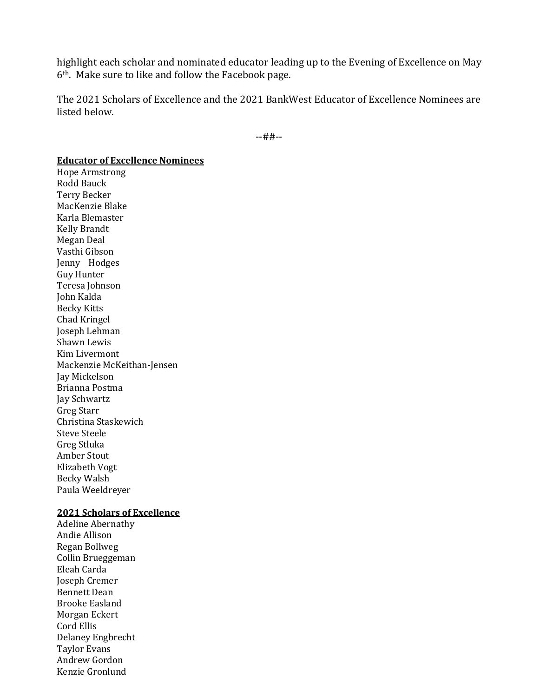highlight each scholar and nominated educator leading up to the Evening of Excellence on May 6th. Make sure to like and follow the Facebook page.

The 2021 Scholars of Excellence and the 2021 BankWest Educator of Excellence Nominees are listed below.

--##--

## **Educator of Excellence Nominees**

Hope Armstrong Rodd Bauck Terry Becker MacKenzie Blake Karla Blemaster Kelly Brandt Megan Deal Vasthi Gibson Jenny Hodges Guy Hunter Teresa Johnson John Kalda Becky Kitts Chad Kringel Joseph Lehman Shawn Lewis Kim Livermont Mackenzie McKeithan-Jensen Jay Mickelson Brianna Postma Jay Schwartz Greg Starr Christina Staskewich Steve Steele Greg Stluka Amber Stout Elizabeth Vogt Becky Walsh Paula Weeldreyer

## **2021 Scholars of Excellence**

Adeline Abernathy Andie Allison Regan Bollweg Collin Brueggeman Eleah Carda Joseph Cremer Bennett Dean Brooke Easland Morgan Eckert Cord Ellis Delaney Engbrecht Taylor Evans Andrew Gordon Kenzie Gronlund